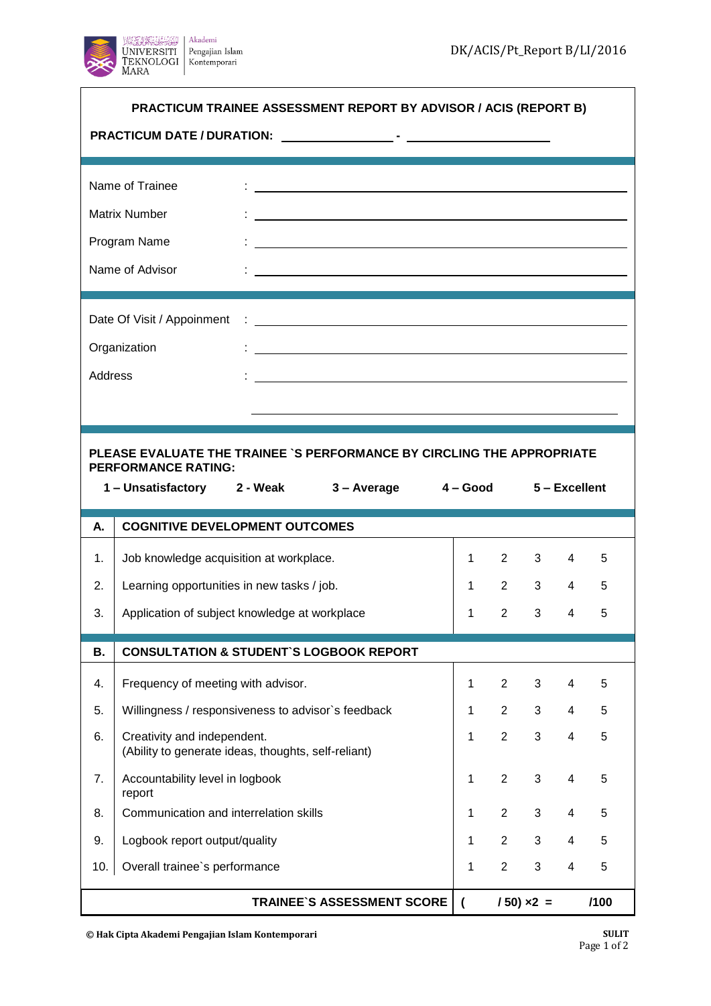

| PRACTICUM TRAINEE ASSESSMENT REPORT BY ADVISOR / ACIS (REPORT B)<br><b>PRACTICUM DATE / DURATION:</b>                                                        |                                                                                    |  |                                                                                                                                                                                                                                      |  |              |                |              |                |   |
|--------------------------------------------------------------------------------------------------------------------------------------------------------------|------------------------------------------------------------------------------------|--|--------------------------------------------------------------------------------------------------------------------------------------------------------------------------------------------------------------------------------------|--|--------------|----------------|--------------|----------------|---|
|                                                                                                                                                              | Name of Trainee                                                                    |  | <u>and the contract of the contract of the contract of the contract of the contract of the contract of the contract of the contract of the contract of the contract of the contract of the contract of the contract of the contr</u> |  |              |                |              |                |   |
|                                                                                                                                                              | <b>Matrix Number</b>                                                               |  |                                                                                                                                                                                                                                      |  |              |                |              |                |   |
|                                                                                                                                                              | Program Name                                                                       |  |                                                                                                                                                                                                                                      |  |              |                |              |                |   |
| Name of Advisor<br><u> 1989 - Johann Stoff, deutscher Stoffen und der Stoffen und der Stoffen und der Stoffen und der Stoffen und der</u>                    |                                                                                    |  |                                                                                                                                                                                                                                      |  |              |                |              |                |   |
|                                                                                                                                                              | Date Of Visit / Appoinment                                                         |  |                                                                                                                                                                                                                                      |  |              |                |              |                |   |
| Organization<br><u> 1989 - Johann Stoff, amerikansk politiker (d. 1989)</u>                                                                                  |                                                                                    |  |                                                                                                                                                                                                                                      |  |              |                |              |                |   |
| Address                                                                                                                                                      |                                                                                    |  |                                                                                                                                                                                                                                      |  |              |                |              |                |   |
|                                                                                                                                                              |                                                                                    |  |                                                                                                                                                                                                                                      |  |              |                |              |                |   |
| PLEASE EVALUATE THE TRAINEE `S PERFORMANCE BY CIRCLING THE APPROPRIATE<br><b>PERFORMANCE RATING:</b><br>1-Unsatisfactory 2-Weak 3-Average 4-Good 5-Excellent |                                                                                    |  |                                                                                                                                                                                                                                      |  |              |                |              |                |   |
|                                                                                                                                                              |                                                                                    |  |                                                                                                                                                                                                                                      |  |              |                |              |                |   |
| А.                                                                                                                                                           | <b>COGNITIVE DEVELOPMENT OUTCOMES</b>                                              |  |                                                                                                                                                                                                                                      |  |              |                |              |                |   |
| $\mathbf 1$ .                                                                                                                                                | Job knowledge acquisition at workplace.                                            |  |                                                                                                                                                                                                                                      |  | $\mathbf{1}$ | $2^{\circ}$    | $3^{\circ}$  | 4              | 5 |
| 2.                                                                                                                                                           | Learning opportunities in new tasks / job.                                         |  |                                                                                                                                                                                                                                      |  | $\mathbf{1}$ | $2^{\sim}$     | $3^{\circ}$  | $\overline{4}$ | 5 |
| 3.                                                                                                                                                           | Application of subject knowledge at workplace                                      |  |                                                                                                                                                                                                                                      |  | 1            | $\overline{2}$ | $3^{\circ}$  | $\overline{4}$ | 5 |
| В.                                                                                                                                                           | <b>CONSULTATION &amp; STUDENT'S LOGBOOK REPORT</b>                                 |  |                                                                                                                                                                                                                                      |  |              |                |              |                |   |
| 4.                                                                                                                                                           | Frequency of meeting with advisor.                                                 |  |                                                                                                                                                                                                                                      |  | $\mathbf{1}$ | $\overline{2}$ | 3            | 4              | 5 |
| 5.                                                                                                                                                           | Willingness / responsiveness to advisor's feedback                                 |  |                                                                                                                                                                                                                                      |  | 1            | $\overline{2}$ | 3            | 4              | 5 |
| 6.                                                                                                                                                           | Creativity and independent.<br>(Ability to generate ideas, thoughts, self-reliant) |  |                                                                                                                                                                                                                                      |  | 1            | $\overline{2}$ | 3            | 4              | 5 |
| 7.                                                                                                                                                           | Accountability level in logbook<br>report                                          |  |                                                                                                                                                                                                                                      |  | 1            | $\overline{2}$ | $\mathbf{3}$ | 4              | 5 |
| 8.                                                                                                                                                           | Communication and interrelation skills                                             |  |                                                                                                                                                                                                                                      |  | 1            | $\overline{2}$ | $\mathbf{3}$ | 4              | 5 |
| 9.                                                                                                                                                           | Logbook report output/quality                                                      |  |                                                                                                                                                                                                                                      |  | 1            | $\overline{2}$ | $\mathbf{3}$ | 4              | 5 |
| 10.                                                                                                                                                          | Overall trainee's performance                                                      |  |                                                                                                                                                                                                                                      |  | 1            | $\overline{2}$ | 3            | 4              | 5 |